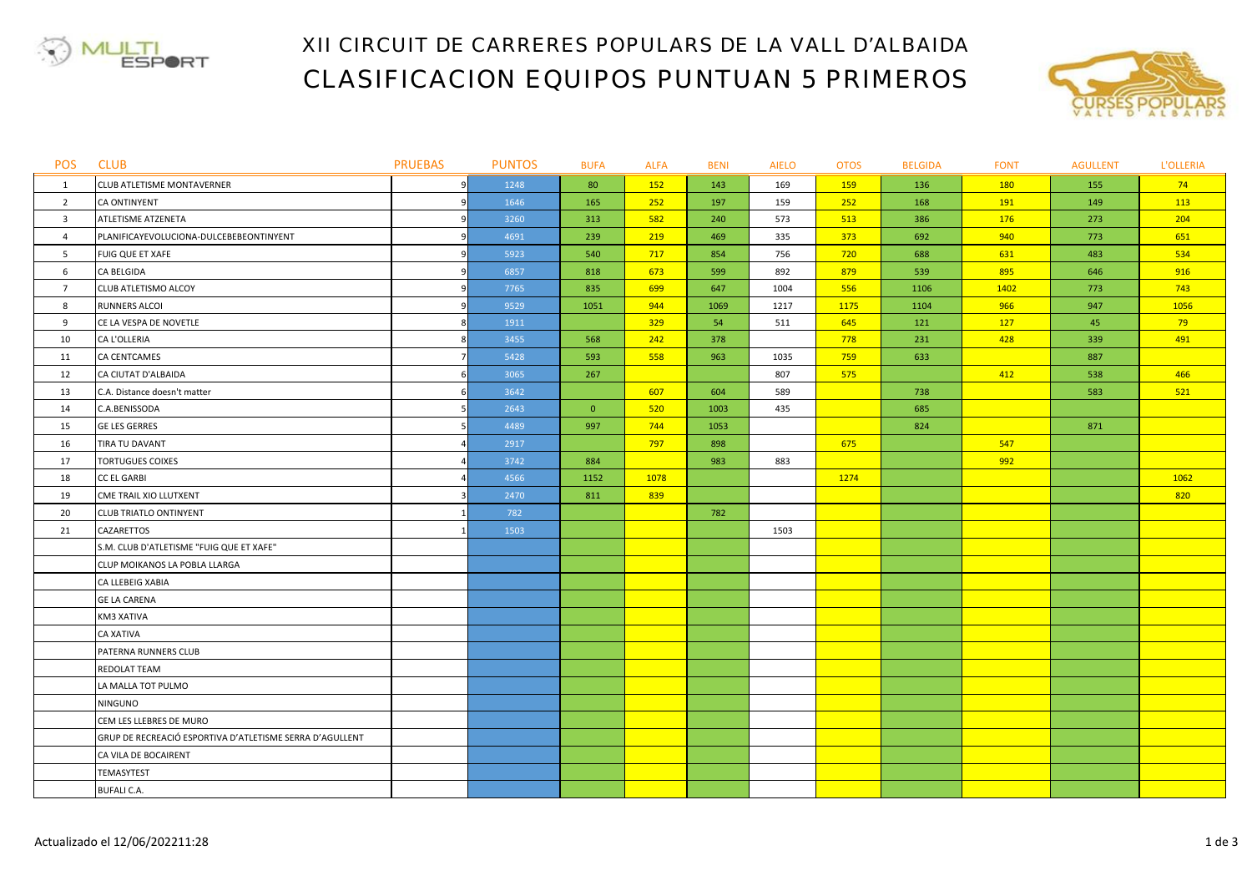

## XII CIRCUIT DE CARRERES POPULARS DE LA VALL D'ALBAIDA CLASIFICACION EQUIPOS PUNTUAN 5 PRIMEROS



| <b>POS</b>              | <b>CLUB</b>                                              | <b>PRUEBAS</b> | <b>PUNTOS</b> | <b>BUFA</b>    | <b>ALFA</b> | <b>BENI</b> | <b>AIELO</b> | <b>OTOS</b> | <b>BELGIDA</b> | <b>FONT</b> | <b>AGULLENT</b> | <b>L'OLLERIA</b> |
|-------------------------|----------------------------------------------------------|----------------|---------------|----------------|-------------|-------------|--------------|-------------|----------------|-------------|-----------------|------------------|
| $\mathbf{1}$            | <b>CLUB ATLETISME MONTAVERNER</b>                        | 9              | 1248          | 80             | 152         | 143         | 169          | 159         | 136            | 180         | 155             | 74               |
| $\overline{2}$          | <b>CA ONTINYENT</b>                                      | q              | 1646          | 165            | 252         | 197         | 159          | 252         | 168            | 191         | 149             | 113              |
| $\overline{\mathbf{3}}$ | ATLETISME ATZENETA                                       | q              | 3260          | 313            | 582         | 240         | 573          | 513         | 386            | 176         | 273             | 204              |
| $\overline{4}$          | PLANIFICAYEVOLUCIONA-DULCEBEBEONTINYENT                  | q              | 4691          | 239            | 219         | 469         | 335          | 373         | 692            | 940         | 773             | 651              |
| 5                       | FUIG QUE ET XAFE                                         | q              | 5923          | 540            | 717         | 854         | 756          | 720         | 688            | 631         | 483             | 534              |
| 6                       | CA BELGIDA                                               | q              | 6857          | 818            | 673         | 599         | 892          | 879         | 539            | 895         | 646             | 916              |
| $\overline{7}$          | CLUB ATLETISMO ALCOY                                     | q              | 7765          | 835            | 699         | 647         | 1004         | 556         | 1106           | 1402        | 773             | 743              |
| 8                       | <b>RUNNERS ALCOI</b>                                     |                | 9529          | 1051           | 944         | 1069        | 1217         | 1175        | 1104           | 966         | 947             | 1056             |
| 9                       | CE LA VESPA DE NOVETLE                                   | 8              | 1911          |                | 329         | 54          | 511          | 645         | 121            | 127         | 45              | 79               |
| 10                      | CA L'OLLERIA                                             |                | 3455          | 568            | 242         | 378         |              | 778         | 231            | 428         | 339             | 491              |
| 11                      | <b>CA CENTCAMES</b>                                      | $\overline{ }$ | 5428          | 593            | 558         | 963         | 1035         | 759         | 633            |             | 887             |                  |
| 12                      | CA CIUTAT D'ALBAIDA                                      |                | 3065          | 267            |             |             | 807          | 575         |                | 412         | 538             | 466              |
| 13                      | C.A. Distance doesn't matter                             |                | 3642          |                | 607         | 604         | 589          |             | 738            |             | 583             | 521              |
| 14                      | C.A.BENISSODA                                            |                | 2643          | $\overline{0}$ | 520         | 1003        | 435          |             | 685            |             |                 |                  |
| 15                      | <b>GE LES GERRES</b>                                     |                | 4489          | 997            | 744         | 1053        |              |             | 824            |             | 871             |                  |
| 16                      | TIRA TU DAVANT                                           |                | 2917          |                | 797         | 898         |              | 675         |                | 547         |                 |                  |
| 17                      | <b>TORTUGUES COIXES</b>                                  |                | 3742          | 884            |             | 983         | 883          |             |                | 992         |                 |                  |
| 18                      | <b>CC EL GARBI</b>                                       |                | 4566          | 1152           | 1078        |             |              | 1274        |                |             |                 | 1062             |
| 19                      | CME TRAIL XIO LLUTXENT                                   | 3              | 2470          | 811            | 839         |             |              |             |                |             |                 | 820              |
| 20                      | <b>CLUB TRIATLO ONTINYENT</b>                            | $\mathbf{1}$   | 782           |                |             | 782         |              |             |                |             |                 |                  |
| 21                      | CAZARETTOS                                               | $\mathbf{1}$   | 1503          |                |             |             | 1503         |             |                |             |                 |                  |
|                         | S.M. CLUB D'ATLETISME "FUIG QUE ET XAFE"                 |                |               |                |             |             |              |             |                |             |                 |                  |
|                         | CLUP MOIKANOS LA POBLA LLARGA                            |                |               |                |             |             |              |             |                |             |                 |                  |
|                         | CA LLEBEIG XABIA                                         |                |               |                |             |             |              |             |                |             |                 |                  |
|                         | <b>GE LA CARENA</b>                                      |                |               |                |             |             |              |             |                |             |                 |                  |
|                         | KM3 XATIVA                                               |                |               |                |             |             |              |             |                |             |                 |                  |
|                         | <b>CA XATIVA</b>                                         |                |               |                |             |             |              |             |                |             |                 |                  |
|                         | PATERNA RUNNERS CLUB                                     |                |               |                |             |             |              |             |                |             |                 |                  |
|                         | REDOLAT TEAM                                             |                |               |                |             |             |              |             |                |             |                 |                  |
|                         | LA MALLA TOT PULMO                                       |                |               |                |             |             |              |             |                |             |                 |                  |
|                         | <b>NINGUNO</b>                                           |                |               |                |             |             |              |             |                |             |                 |                  |
|                         | CEM LES LLEBRES DE MURO                                  |                |               |                |             |             |              |             |                |             |                 |                  |
|                         | GRUP DE RECREACIÓ ESPORTIVA D'ATLETISME SERRA D'AGULLENT |                |               |                |             |             |              |             |                |             |                 |                  |
|                         | CA VILA DE BOCAIRENT                                     |                |               |                |             |             |              |             |                |             |                 |                  |
|                         | TEMASYTEST                                               |                |               |                |             |             |              |             |                |             |                 |                  |
|                         | <b>BUFALI C.A.</b>                                       |                |               |                |             |             |              |             |                |             |                 |                  |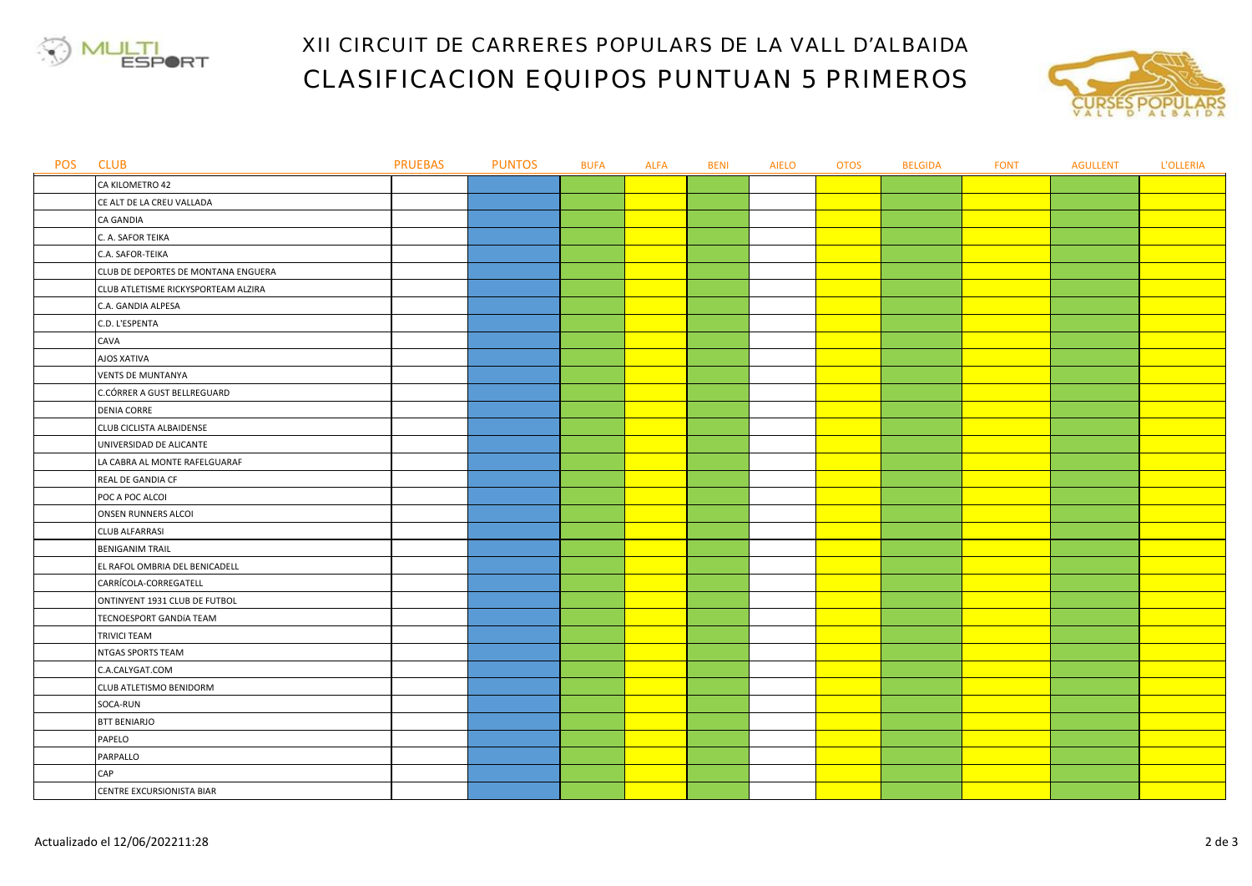

## XII CIRCUIT DE CARRERES POPULARS DE LA VALL D'ALBAIDA CLASIFICACION EQUIPOS PUNTUAN 5 PRIMEROS



| <b>POS</b> | <b>CLUB</b>                         | <b>PRUEBAS</b> | <b>PUNTOS</b> | <b>BUFA</b> | <b>ALFA</b> | <b>BENI</b> | <b>AIELO</b> | <b>OTOS</b> | <b>BELGIDA</b> | <b>FONT</b> | <b>AGULLENT</b> | <b>L'OLLERIA</b> |
|------------|-------------------------------------|----------------|---------------|-------------|-------------|-------------|--------------|-------------|----------------|-------------|-----------------|------------------|
|            | CA KILOMETRO 42                     |                |               |             |             |             |              |             |                |             |                 |                  |
|            | CE ALT DE LA CREU VALLADA           |                |               |             |             |             |              |             |                |             |                 |                  |
|            | CA GANDIA                           |                |               |             |             |             |              |             |                |             |                 |                  |
|            | C. A. SAFOR TEIKA                   |                |               |             |             |             |              |             |                |             |                 |                  |
|            | C.A. SAFOR-TEIKA                    |                |               |             |             |             |              |             |                |             |                 |                  |
|            | CLUB DE DEPORTES DE MONTANA ENGUERA |                |               |             |             |             |              |             |                |             |                 |                  |
|            | CLUB ATLETISME RICKYSPORTEAM ALZIRA |                |               |             |             |             |              |             |                |             |                 |                  |
|            | C.A. GANDIA ALPESA                  |                |               |             |             |             |              |             |                |             |                 |                  |
|            | C.D. L'ESPENTA                      |                |               |             |             |             |              |             |                |             |                 |                  |
|            | CAVA                                |                |               |             |             |             |              |             |                |             |                 |                  |
|            | AJOS XATIVA                         |                |               |             |             |             |              |             |                |             |                 |                  |
|            | <b>VENTS DE MUNTANYA</b>            |                |               |             |             |             |              |             |                |             |                 |                  |
|            | C.CÓRRER A GUST BELLREGUARD         |                |               |             |             |             |              |             |                |             |                 |                  |
|            | <b>DENIA CORRE</b>                  |                |               |             |             |             |              |             |                |             |                 |                  |
|            | CLUB CICLISTA ALBAIDENSE            |                |               |             |             |             |              |             |                |             |                 |                  |
|            | UNIVERSIDAD DE ALICANTE             |                |               |             |             |             |              |             |                |             |                 |                  |
|            | LA CABRA AL MONTE RAFELGUARAF       |                |               |             |             |             |              |             |                |             |                 |                  |
|            | REAL DE GANDIA CF                   |                |               |             |             |             |              |             |                |             |                 |                  |
|            | POC A POC ALCOI                     |                |               |             |             |             |              |             |                |             |                 |                  |
|            | <b>ONSEN RUNNERS ALCOI</b>          |                |               |             |             |             |              |             |                |             |                 |                  |
|            | <b>CLUB ALFARRASI</b>               |                |               |             |             |             |              |             |                |             |                 |                  |
|            | <b>BENIGANIM TRAIL</b>              |                |               |             |             |             |              |             |                |             |                 |                  |
|            | EL RAFOL OMBRIA DEL BENICADELL      |                |               |             |             |             |              |             |                |             |                 |                  |
|            | CARRÍCOLA-CORREGATELL               |                |               |             |             |             |              |             |                |             |                 |                  |
|            | ONTINYENT 1931 CLUB DE FUTBOL       |                |               |             |             |             |              |             |                |             |                 |                  |
|            | TECNOESPORT GANDÍA TEAM             |                |               |             |             |             |              |             |                |             |                 |                  |
|            | <b>TRIVICI TEAM</b>                 |                |               |             |             |             |              |             |                |             |                 |                  |
|            | NTGAS SPORTS TEAM                   |                |               |             |             |             |              |             |                |             |                 |                  |
|            | C.A.CALYGAT.COM                     |                |               |             |             |             |              |             |                |             |                 |                  |
|            | CLUB ATLETISMO BENIDORM             |                |               |             |             |             |              |             |                |             |                 |                  |
|            | SOCA-RUN                            |                |               |             |             |             |              |             |                |             |                 |                  |
|            | <b>BTT BENIARJO</b>                 |                |               |             |             |             |              |             |                |             |                 |                  |
|            | PAPELO                              |                |               |             |             |             |              |             |                |             |                 |                  |
|            | PARPALLO                            |                |               |             |             |             |              |             |                |             |                 |                  |
|            | CAP                                 |                |               |             |             |             |              |             |                |             |                 |                  |
|            | CENTRE EXCURSIONISTA BIAR           |                |               |             |             |             |              |             |                |             |                 |                  |